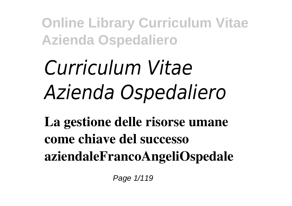# *Curriculum Vitae Azienda Ospedaliero*

**La gestione delle risorse umane come chiave del successo aziendaleFrancoAngeliOspedale**

Page  $1/119$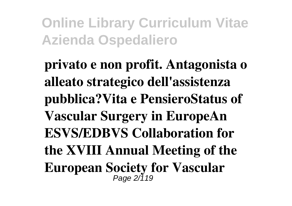**privato e non profit. Antagonista o alleato strategico dell'assistenza pubblica?Vita e PensieroStatus of Vascular Surgery in EuropeAn ESVS/EDBVS Collaboration for the XVIII Annual Meeting of the European Society for Vascular** Page 2/119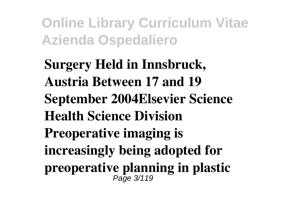**Surgery Held in Innsbruck, Austria Between 17 and 19 September 2004Elsevier Science Health Science Division Preoperative imaging is increasingly being adopted for preoperative planning in plastic** Page 3/119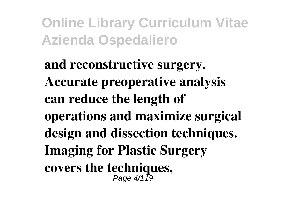**and reconstructive surgery. Accurate preoperative analysis can reduce the length of operations and maximize surgical design and dissection techniques. Imaging for Plastic Surgery covers the techniques,** Page 4/119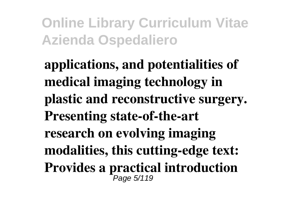**applications, and potentialities of medical imaging technology in plastic and reconstructive surgery. Presenting state-of-the-art research on evolving imaging modalities, this cutting-edge text: Provides a practical introduction** Page 5/119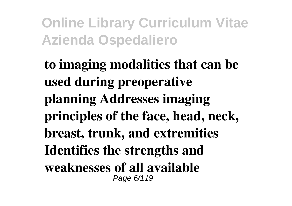**to imaging modalities that can be used during preoperative planning Addresses imaging principles of the face, head, neck, breast, trunk, and extremities Identifies the strengths and weaknesses of all available** Page 6/119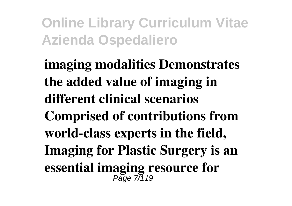**imaging modalities Demonstrates the added value of imaging in different clinical scenarios Comprised of contributions from world-class experts in the field, Imaging for Plastic Surgery is an essential imaging resource for**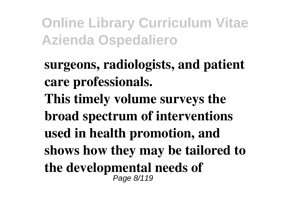**surgeons, radiologists, and patient care professionals. This timely volume surveys the broad spectrum of interventions used in health promotion, and shows how they may be tailored to the developmental needs of** Page 8/119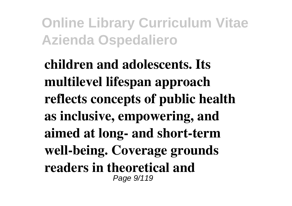**children and adolescents. Its multilevel lifespan approach reflects concepts of public health as inclusive, empowering, and aimed at long- and short-term well-being. Coverage grounds readers in theoretical and** Page  $9/119$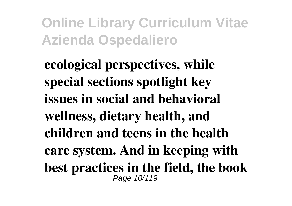**ecological perspectives, while special sections spotlight key issues in social and behavioral wellness, dietary health, and children and teens in the health care system. And in keeping with best practices in the field, the book** Page 10/119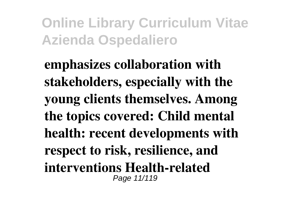**emphasizes collaboration with stakeholders, especially with the young clients themselves. Among the topics covered: Child mental health: recent developments with respect to risk, resilience, and interventions Health-related** Page 11/119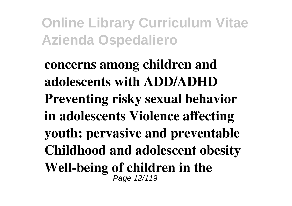**concerns among children and adolescents with ADD/ADHD Preventing risky sexual behavior in adolescents Violence affecting youth: pervasive and preventable Childhood and adolescent obesity Well-being of children in the** Page 12/119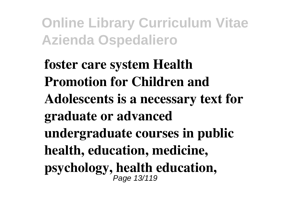**foster care system Health Promotion for Children and Adolescents is a necessary text for graduate or advanced undergraduate courses in public health, education, medicine, psychology, health education,** Page 13/119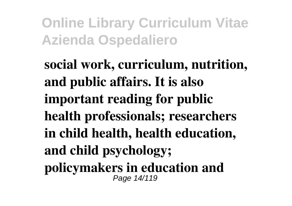**social work, curriculum, nutrition, and public affairs. It is also important reading for public health professionals; researchers in child health, health education, and child psychology; policymakers in education and** Page 14/119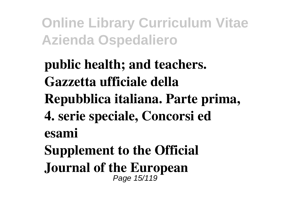**public health; and teachers. Gazzetta ufficiale della Repubblica italiana. Parte prima, 4. serie speciale, Concorsi ed esami Supplement to the Official Journal of the European** Page 15/119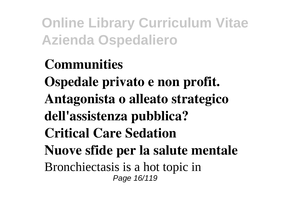**Communities Ospedale privato e non profit. Antagonista o alleato strategico dell'assistenza pubblica? Critical Care Sedation Nuove sfide per la salute mentale** Bronchiectasis is a hot topic in Page 16/119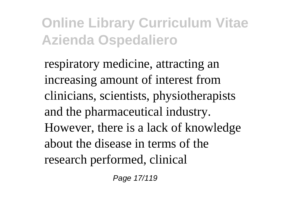respiratory medicine, attracting an increasing amount of interest from clinicians, scientists, physiotherapists and the pharmaceutical industry. However, there is a lack of knowledge about the disease in terms of the research performed, clinical

Page 17/119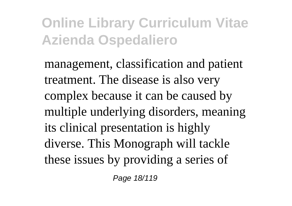management, classification and patient treatment. The disease is also very complex because it can be caused by multiple underlying disorders, meaning its clinical presentation is highly diverse. This Monograph will tackle these issues by providing a series of

Page 18/119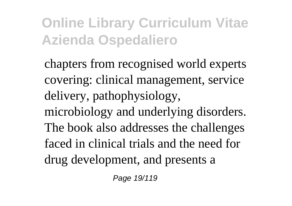chapters from recognised world experts covering: clinical management, service delivery, pathophysiology, microbiology and underlying disorders. The book also addresses the challenges faced in clinical trials and the need for drug development, and presents a

Page 19/119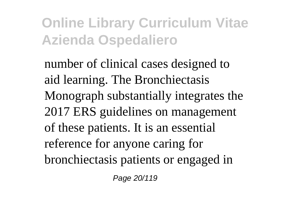number of clinical cases designed to aid learning. The Bronchiectasis Monograph substantially integrates the 2017 ERS guidelines on management of these patients. It is an essential reference for anyone caring for bronchiectasis patients or engaged in

Page 20/119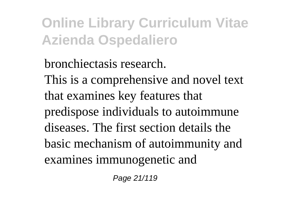bronchiectasis research. This is a comprehensive and novel text that examines key features that predispose individuals to autoimmune diseases. The first section details the basic mechanism of autoimmunity and examines immunogenetic and

Page 21/119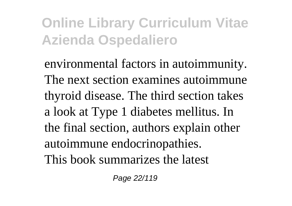environmental factors in autoimmunity. The next section examines autoimmune thyroid disease. The third section takes a look at Type 1 diabetes mellitus. In the final section, authors explain other autoimmune endocrinopathies. This book summarizes the latest

Page 22/119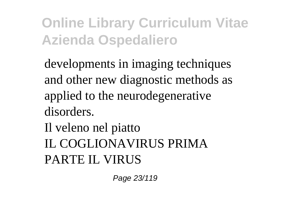developments in imaging techniques and other new diagnostic methods as applied to the neurodegenerative disorders.

Il veleno nel piatto IL COGLIONAVIRUS PRIMA PARTE IL VIRUS

Page 23/119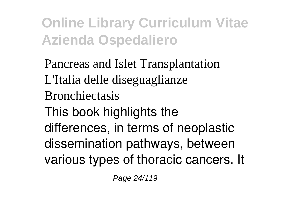Pancreas and Islet Transplantation L'Italia delle diseguaglianze Bronchiectasis This book highlights the differences, in terms of neoplastic dissemination pathways, between various types of thoracic cancers. It

Page 24/119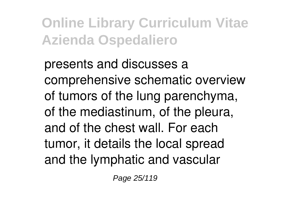presents and discusses a comprehensive schematic overview of tumors of the lung parenchyma, of the mediastinum, of the pleura, and of the chest wall. For each tumor, it details the local spread and the lymphatic and vascular

Page 25/119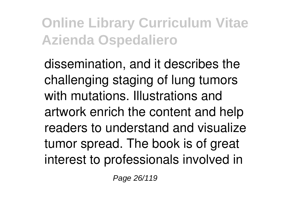dissemination, and it describes the challenging staging of lung tumors with mutations. Illustrations and artwork enrich the content and help readers to understand and visualize tumor spread. The book is of great interest to professionals involved in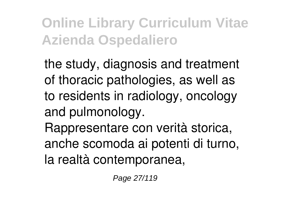the study, diagnosis and treatment of thoracic pathologies, as well as to residents in radiology, oncology and pulmonology.

Rappresentare con verità storica, anche scomoda ai potenti di turno, la realtà contemporanea,

Page 27/119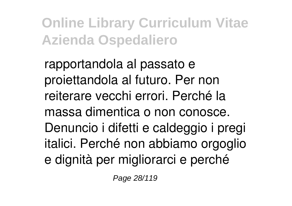rapportandola al passato e proiettandola al futuro. Per non reiterare vecchi errori. Perché la massa dimentica o non conosce. Denuncio i difetti e caldeggio i pregi italici. Perché non abbiamo orgoglio e dignità per migliorarci e perché

Page 28/119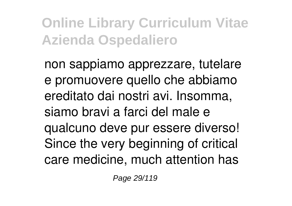non sappiamo apprezzare, tutelare e promuovere quello che abbiamo ereditato dai nostri avi. Insomma, siamo bravi a farci del male e qualcuno deve pur essere diverso! Since the very beginning of critical care medicine, much attention has

Page 29/119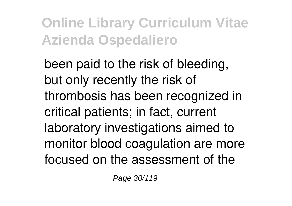been paid to the risk of bleeding, but only recently the risk of thrombosis has been recognized in critical patients; in fact, current laboratory investigations aimed to monitor blood coagulation are more focused on the assessment of the

Page 30/119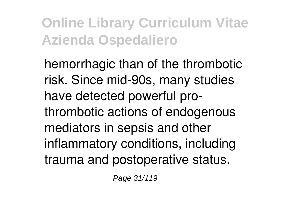hemorrhagic than of the thrombotic risk. Since mid-90s, many studies have detected powerful prothrombotic actions of endogenous mediators in sepsis and other inflammatory conditions, including trauma and postoperative status.

Page 31/119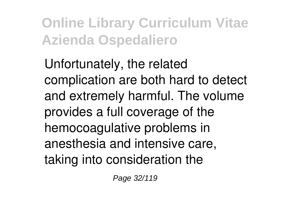Unfortunately, the related complication are both hard to detect and extremely harmful. The volume provides a full coverage of the hemocoagulative problems in anesthesia and intensive care, taking into consideration the

Page 32/119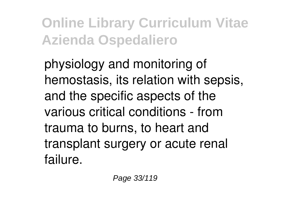physiology and monitoring of hemostasis, its relation with sepsis, and the specific aspects of the various critical conditions - from trauma to burns, to heart and transplant surgery or acute renal failure.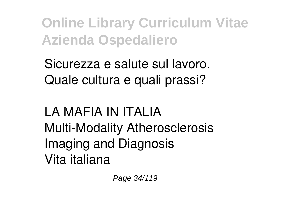Sicurezza e salute sul lavoro. Quale cultura e quali prassi?

#### LA MAFIA IN ITALIA Multi-Modality Atherosclerosis Imaging and Diagnosis Vita italiana

Page 34/119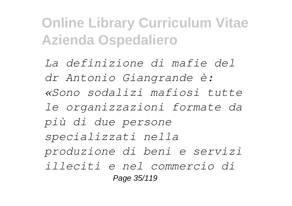*La definizione di mafie del dr Antonio Giangrande è: «Sono sodalizi mafiosi tutte le organizzazioni formate da più di due persone specializzati nella produzione di beni e servizi illeciti e nel commercio di* Page 35/119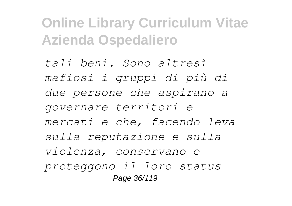*tali beni. Sono altresì mafiosi i gruppi di più di due persone che aspirano a governare territori e mercati e che, facendo leva sulla reputazione e sulla violenza, conservano e proteggono il loro status* Page 36/119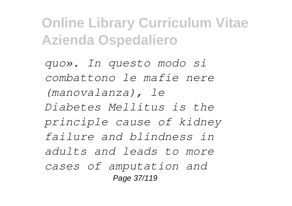*quo». In questo modo si combattono le mafie nere (manovalanza), le Diabetes Mellitus is the principle cause of kidney failure and blindness in adults and leads to more cases of amputation and* Page 37/119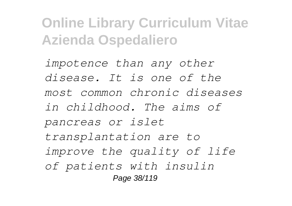*impotence than any other disease. It is one of the most common chronic diseases in childhood. The aims of pancreas or islet transplantation are to improve the quality of life of patients with insulin* Page 38/119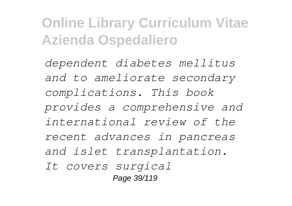*dependent diabetes mellitus and to ameliorate secondary complications. This book provides a comprehensive and international review of the recent advances in pancreas and islet transplantation. It covers surgical* Page 39/119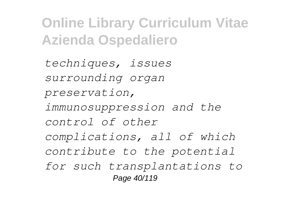*techniques, issues surrounding organ preservation, immunosuppression and the control of other complications, all of which contribute to the potential for such transplantations to* Page 40/119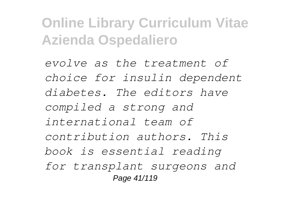*evolve as the treatment of choice for insulin dependent diabetes. The editors have compiled a strong and international team of contribution authors. This book is essential reading for transplant surgeons and* Page 41/119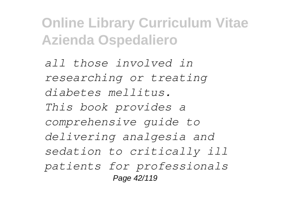*all those involved in researching or treating diabetes mellitus. This book provides a comprehensive guide to delivering analgesia and sedation to critically ill patients for professionals* Page 42/119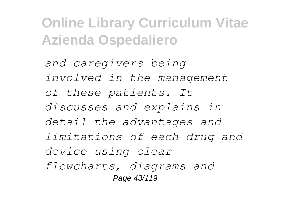*and caregivers being involved in the management of these patients. It discusses and explains in detail the advantages and limitations of each drug and device using clear flowcharts, diagrams and* Page 43/119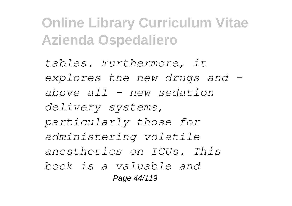*tables. Furthermore, it explores the new drugs and – above all – new sedation delivery systems, particularly those for administering volatile anesthetics on ICUs. This book is a valuable and* Page 44/119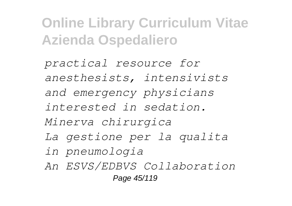*practical resource for anesthesists, intensivists and emergency physicians interested in sedation. Minerva chirurgica La gestione per la qualita in pneumologia An ESVS/EDBVS Collaboration* Page 45/119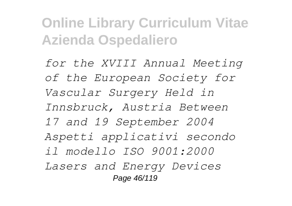*for the XVIII Annual Meeting of the European Society for Vascular Surgery Held in Innsbruck, Austria Between 17 and 19 September 2004 Aspetti applicativi secondo il modello ISO 9001:2000 Lasers and Energy Devices* Page 46/119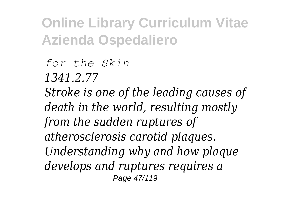*for the Skin 1341.2.77 Stroke is one of the leading causes of death in the world, resulting mostly from the sudden ruptures of atherosclerosis carotid plaques. Understanding why and how plaque develops and ruptures requires a* Page 47/119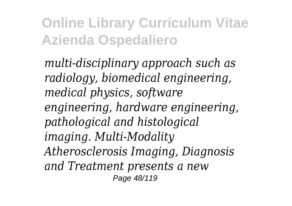*multi-disciplinary approach such as radiology, biomedical engineering, medical physics, software engineering, hardware engineering, pathological and histological imaging. Multi-Modality Atherosclerosis Imaging, Diagnosis and Treatment presents a new* Page 48/119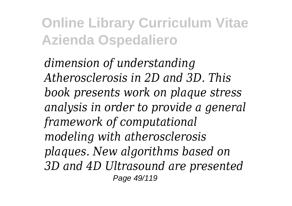*dimension of understanding Atherosclerosis in 2D and 3D. This book presents work on plaque stress analysis in order to provide a general framework of computational modeling with atherosclerosis plaques. New algorithms based on 3D and 4D Ultrasound are presented* Page 49/119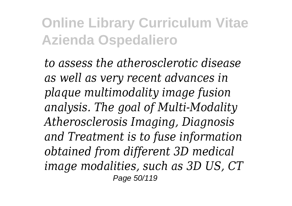*to assess the atherosclerotic disease as well as very recent advances in plaque multimodality image fusion analysis. The goal of Multi-Modality Atherosclerosis Imaging, Diagnosis and Treatment is to fuse information obtained from different 3D medical image modalities, such as 3D US, CT* Page 50/119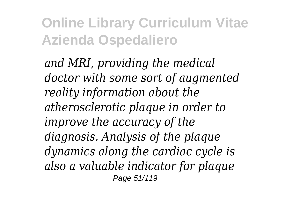*and MRI, providing the medical doctor with some sort of augmented reality information about the atherosclerotic plaque in order to improve the accuracy of the diagnosis. Analysis of the plaque dynamics along the cardiac cycle is also a valuable indicator for plaque* Page 51/119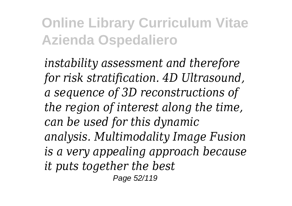*instability assessment and therefore for risk stratification. 4D Ultrasound, a sequence of 3D reconstructions of the region of interest along the time, can be used for this dynamic analysis. Multimodality Image Fusion is a very appealing approach because it puts together the best* Page 52/119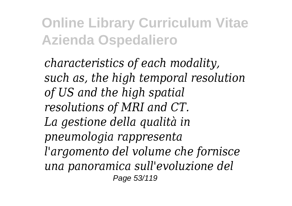*characteristics of each modality, such as, the high temporal resolution of US and the high spatial resolutions of MRI and CT. La gestione della qualità in pneumologia rappresenta l'argomento del volume che fornisce una panoramica sull'evoluzione del* Page 53/119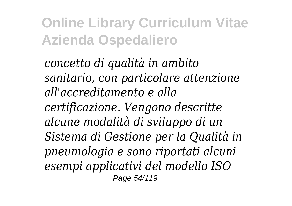*concetto di qualità in ambito sanitario, con particolare attenzione all'accreditamento e alla certificazione. Vengono descritte alcune modalità di sviluppo di un Sistema di Gestione per la Qualità in pneumologia e sono riportati alcuni esempi applicativi del modello ISO* Page 54/119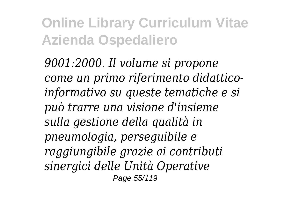*9001:2000. Il volume si propone come un primo riferimento didatticoinformativo su queste tematiche e si può trarre una visione d'insieme sulla gestione della qualità in pneumologia, perseguibile e raggiungibile grazie ai contributi sinergici delle Unità Operative* Page 55/119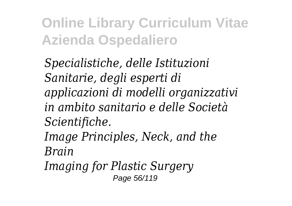*Specialistiche, delle Istituzioni Sanitarie, degli esperti di applicazioni di modelli organizzativi in ambito sanitario e delle Società Scientifiche. Image Principles, Neck, and the Brain Imaging for Plastic Surgery*

Page 56/119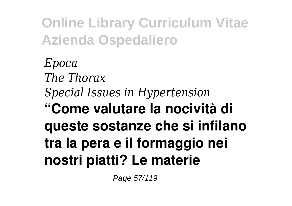*Epoca The Thorax Special Issues in Hypertension* **"Come valutare la nocività di queste sostanze che si infilano tra la pera e il formaggio nei nostri piatti? Le materie**

Page 57/119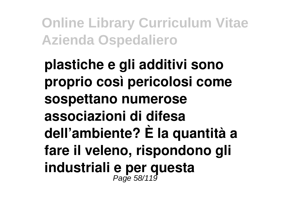**plastiche e gli additivi sono proprio così pericolosi come sospettano numerose associazioni di difesa dell'ambiente? È la quantità a fare il veleno, rispondono gli industriali e per questa** Page 58/119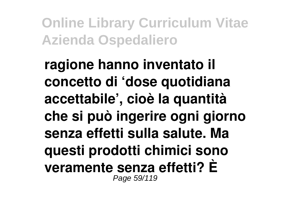**ragione hanno inventato il concetto di 'dose quotidiana accettabile', cioè la quantità che si può ingerire ogni giorno senza effetti sulla salute. Ma questi prodotti chimici sono veramente senza effetti? È** Page 59/119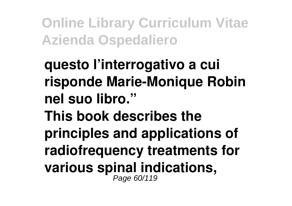**questo l'interrogativo a cui risponde Marie-Monique Robin nel suo libro." This book describes the principles and applications of radiofrequency treatments for various spinal indications,** Page 60/119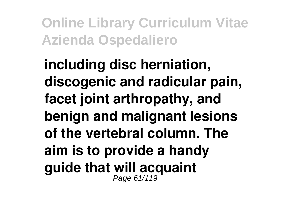**including disc herniation, discogenic and radicular pain, facet joint arthropathy, and benign and malignant lesions of the vertebral column. The aim is to provide a handy guide that will acquaint** Page 61/119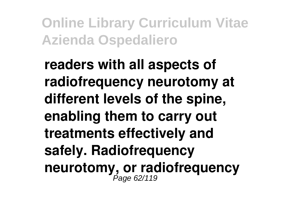**readers with all aspects of radiofrequency neurotomy at different levels of the spine, enabling them to carry out treatments effectively and safely. Radiofrequency** neurotomy, or radiofrequency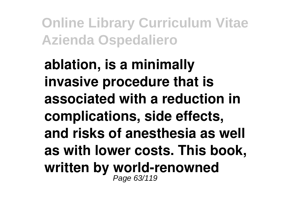**ablation, is a minimally invasive procedure that is associated with a reduction in complications, side effects, and risks of anesthesia as well as with lower costs. This book, written by world-renowned** Page 63/119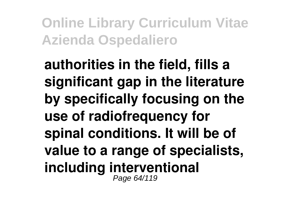**authorities in the field, fills a significant gap in the literature by specifically focusing on the use of radiofrequency for spinal conditions. It will be of value to a range of specialists, including interventional** Page 64/119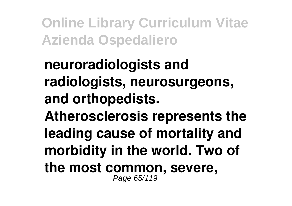**neuroradiologists and radiologists, neurosurgeons, and orthopedists. Atherosclerosis represents the leading cause of mortality and morbidity in the world. Two of the most common, severe,** Page 65/119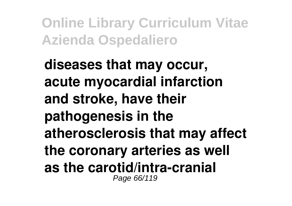**diseases that may occur, acute myocardial infarction and stroke, have their pathogenesis in the atherosclerosis that may affect the coronary arteries as well as the carotid/intra-cranial** Page 66/119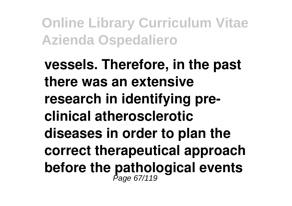**vessels. Therefore, in the past there was an extensive research in identifying preclinical atherosclerotic diseases in order to plan the correct therapeutical approach** before the pathological events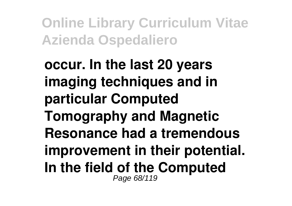**occur. In the last 20 years imaging techniques and in particular Computed Tomography and Magnetic Resonance had a tremendous improvement in their potential. In the field of the Computed** Page 68/119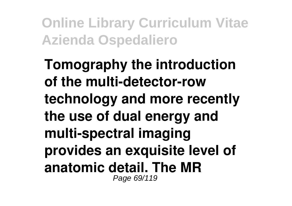**Tomography the introduction of the multi-detector-row technology and more recently the use of dual energy and multi-spectral imaging provides an exquisite level of anatomic detail. The MR** Page 69/119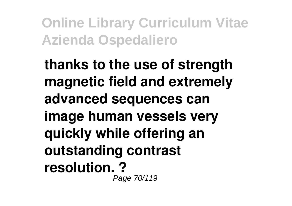**thanks to the use of strength magnetic field and extremely advanced sequences can image human vessels very quickly while offering an outstanding contrast resolution. ?** Page 70/119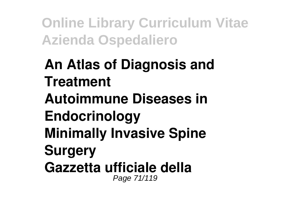#### **An Atlas of Diagnosis and Treatment Autoimmune Diseases in Endocrinology Minimally Invasive Spine Surgery Gazzetta ufficiale della** Page 71/119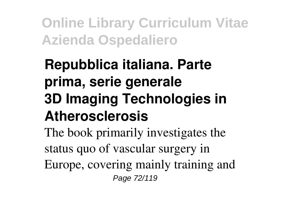# **Repubblica italiana. Parte prima, serie generale 3D Imaging Technologies in Atherosclerosis**

The book primarily investigates the status quo of vascular surgery in Europe, covering mainly training and Page 72/119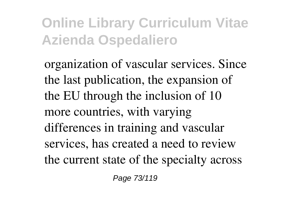organization of vascular services. Since the last publication, the expansion of the EU through the inclusion of 10 more countries, with varying differences in training and vascular services, has created a need to review the current state of the specialty across

Page 73/119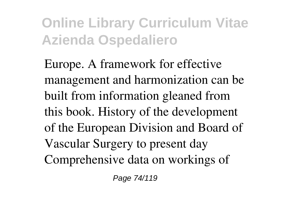Europe. A framework for effective management and harmonization can be built from information gleaned from this book. History of the development of the European Division and Board of Vascular Surgery to present day Comprehensive data on workings of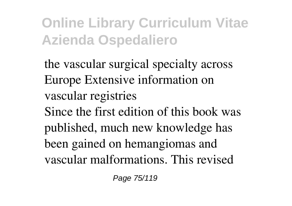the vascular surgical specialty across Europe Extensive information on vascular registries Since the first edition of this book was published, much new knowledge has been gained on hemangiomas and vascular malformations. This revised

Page 75/119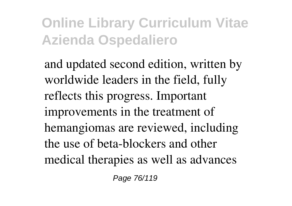and updated second edition, written by worldwide leaders in the field, fully reflects this progress. Important improvements in the treatment of hemangiomas are reviewed, including the use of beta-blockers and other medical therapies as well as advances

Page 76/119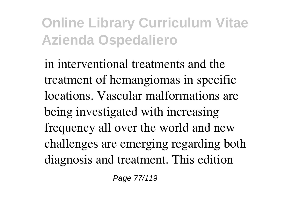in interventional treatments and the treatment of hemangiomas in specific locations. Vascular malformations are being investigated with increasing frequency all over the world and new challenges are emerging regarding both diagnosis and treatment. This edition

Page 77/119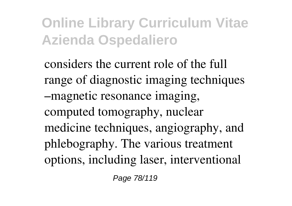considers the current role of the full range of diagnostic imaging techniques –magnetic resonance imaging, computed tomography, nuclear medicine techniques, angiography, and phlebography. The various treatment options, including laser, interventional

Page 78/119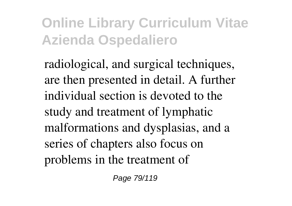radiological, and surgical techniques, are then presented in detail. A further individual section is devoted to the study and treatment of lymphatic malformations and dysplasias, and a series of chapters also focus on problems in the treatment of

Page 79/119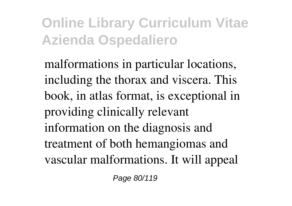malformations in particular locations, including the thorax and viscera. This book, in atlas format, is exceptional in providing clinically relevant information on the diagnosis and treatment of both hemangiomas and vascular malformations. It will appeal

Page 80/119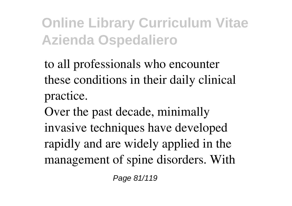to all professionals who encounter these conditions in their daily clinical practice.

Over the past decade, minimally invasive techniques have developed rapidly and are widely applied in the management of spine disorders. With

Page 81/119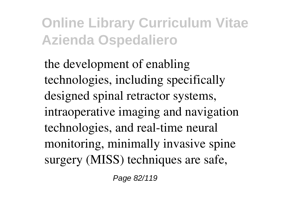the development of enabling technologies, including specifically designed spinal retractor systems, intraoperative imaging and navigation technologies, and real-time neural monitoring, minimally invasive spine surgery (MISS) techniques are safe,

Page 82/119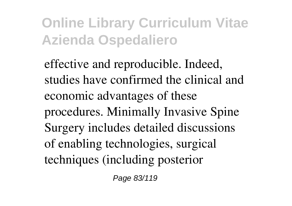effective and reproducible. Indeed, studies have confirmed the clinical and economic advantages of these procedures. Minimally Invasive Spine Surgery includes detailed discussions of enabling technologies, surgical techniques (including posterior

Page 83/119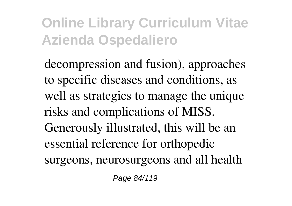decompression and fusion), approaches to specific diseases and conditions, as well as strategies to manage the unique risks and complications of MISS. Generously illustrated, this will be an essential reference for orthopedic surgeons, neurosurgeons and all health

Page 84/119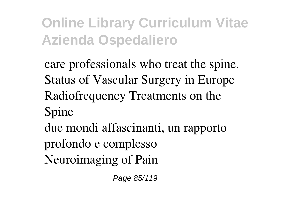care professionals who treat the spine. Status of Vascular Surgery in Europe Radiofrequency Treatments on the Spine

due mondi affascinanti, un rapporto profondo e complesso Neuroimaging of Pain

Page 85/119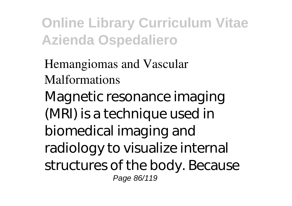Hemangiomas and Vascular Malformations

Magnetic resonance imaging (MRI) is a technique used in biomedical imaging and radiology to visualize internal structures of the body. Because Page 86/119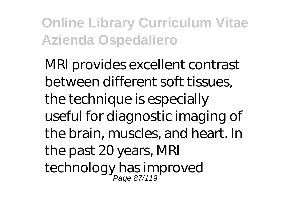MRI provides excellent contrast between different soft tissues, the technique is especially useful for diagnostic imaging of the brain, muscles, and heart. In the past 20 years, MRI technology has improved Page 87/119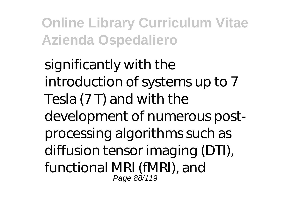significantly with the introduction of systems up to 7 Tesla (7 T) and with the development of numerous postprocessing algorithms such as diffusion tensor imaging (DTI), functional MRI (fMRI), and Page 88/119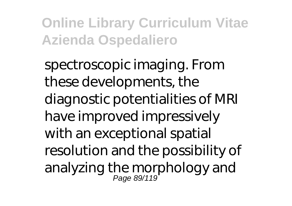spectroscopic imaging. From these developments, the diagnostic potentialities of MRI have improved impressively with an exceptional spatial resolution and the possibility of analyzing the morphology and Page 89/119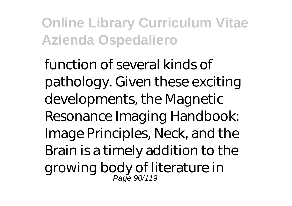function of several kinds of pathology. Given these exciting developments, the Magnetic Resonance Imaging Handbook: Image Principles, Neck, and the Brain is a timely addition to the growing body of literature in Page 90/119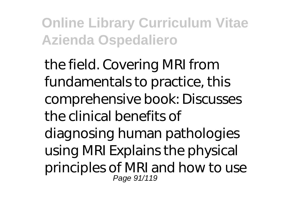the field. Covering MRI from fundamentals to practice, this comprehensive book: Discusses the clinical benefits of diagnosing human pathologies using MRI Explains the physical principles of MRI and how to use Page 91/119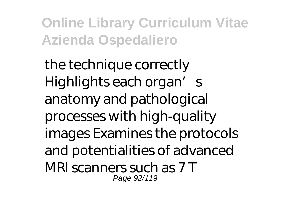the technique correctly Highlights each organ's anatomy and pathological processes with high-quality images Examines the protocols and potentialities of advanced MRI scanners such as 7 T Page 92/119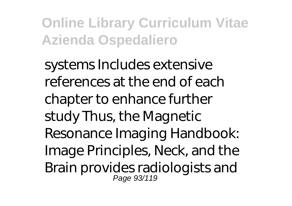systems Includes extensive references at the end of each chapter to enhance further study Thus, the Magnetic Resonance Imaging Handbook: Image Principles, Neck, and the Brain provides radiologists and Page 93/119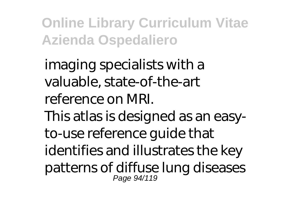imaging specialists with a valuable, state-of-the-art reference on MRI. This atlas is designed as an easyto-use reference guide that identifies and illustrates the key patterns of diffuse lung diseases Page 94/119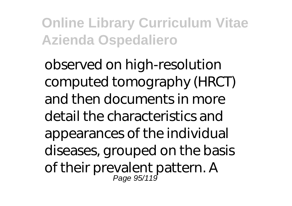observed on high-resolution computed tomography (HRCT) and then documents in more detail the characteristics and appearances of the individual diseases, grouped on the basis of their prevalent pattern. A Page 95/119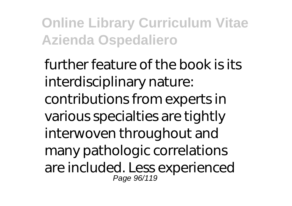further feature of the book is its interdisciplinary nature: contributions from experts in various specialties are tightly interwoven throughout and many pathologic correlations are included. Less experienced Page 96/119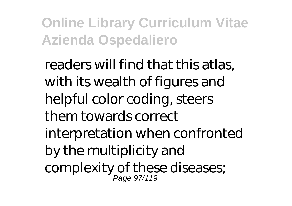readers will find that this atlas, with its wealth of figures and helpful color coding, steers them towards correct interpretation when confronted by the multiplicity and complexity of these diseases; Page 97/119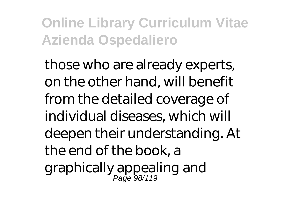those who are already experts, on the other hand, will benefit from the detailed coverage of individual diseases, which will deepen their understanding. At the end of the book, a graphically appealing and Page 98/119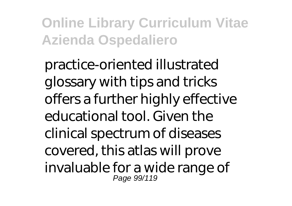practice-oriented illustrated glossary with tips and tricks offers a further highly effective educational tool. Given the clinical spectrum of diseases covered, this atlas will prove invaluable for a wide range of Page 99/119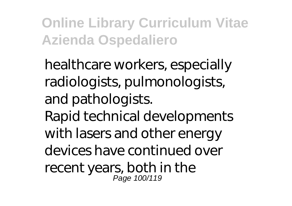healthcare workers, especially radiologists, pulmonologists, and pathologists. Rapid technical developments with lasers and other energy devices have continued over recent years, both in the Page 100/119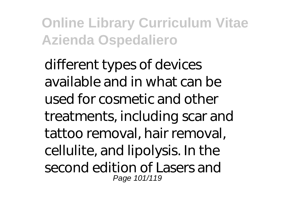different types of devices available and in what can be used for cosmetic and other treatments, including scar and tattoo removal, hair removal, cellulite, and lipolysis. In the second edition of Lasers and Page 101/119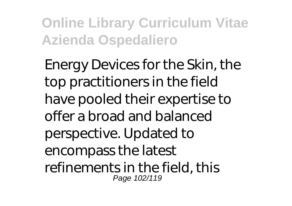Energy Devices for the Skin, the top practitioners in the field have pooled their expertise to offer a broad and balanced perspective. Updated to encompass the latest refinements in the field, this Page 102/119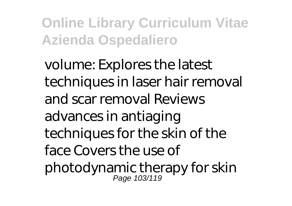volume: Explores the latest techniques in laser hair removal and scar removal Reviews advances in antiaging techniques for the skin of the face Covers the use of photodynamic therapy for skin Page 103/119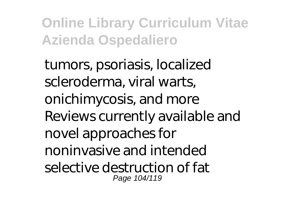tumors, psoriasis, localized scleroderma, viral warts, onichimycosis, and more Reviews currently available and novel approaches for noninvasive and intended selective destruction of fat Page 104/119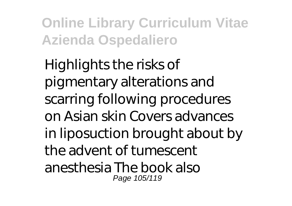Highlights the risks of pigmentary alterations and scarring following procedures on Asian skin Covers advances in liposuction brought about by the advent of tumescent anesthesia The book also Page 105/119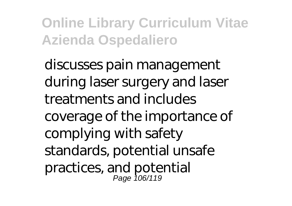discusses pain management during laser surgery and laser treatments and includes coverage of the importance of complying with safety standards, potential unsafe practices, and potential Page 106/119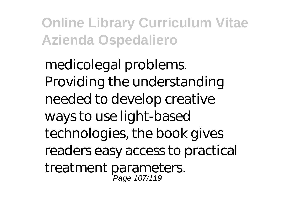medicolegal problems. Providing the understanding needed to develop creative ways to use light-based technologies, the book gives readers easy access to practical treatment parameters. Page 107/119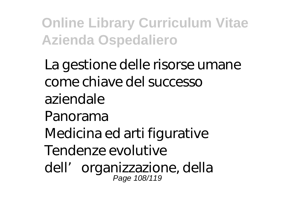La gestione delle risorse umane come chiave del successo aziendale Panorama Medicina ed arti figurative Tendenze evolutive dell' organizzazione, della Page 108/119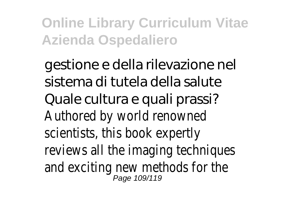gestione e della rilevazione nel sistema di tutela della salute Quale cultura e quali prassi? Authored by world renowned scientists, this book expertly reviews all the imaging techniques and exciting new methods for the Page 109/119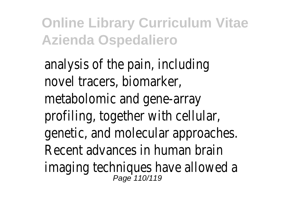analysis of the pain, including novel tracers, biomarker, metabolomic and gene-array profiling, together with cellular, genetic, and molecular approaches. Recent advances in human brain imaging techniques have allowed a Page 110/119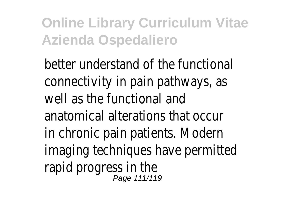better understand of the functional connectivity in pain pathways, as well as the functional and anatomical alterations that occur in chronic pain patients. Modern imaging techniques have permitted rapid progress in the Page 111/119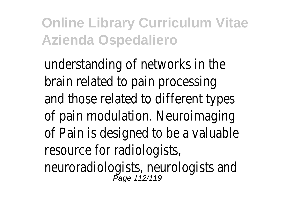understanding of networks in the brain related to pain processing and those related to different types of pain modulation. Neuroimaging of Pain is designed to be a valuable resource for radiologists, neuroradiologists, neurologists and<br>Page 112/119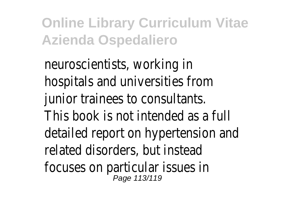neuroscientists, working in hospitals and universities from junior trainees to consultants. This book is not intended as a full detailed report on hypertension and related disorders, but instead focuses on particular issues in Page 113/119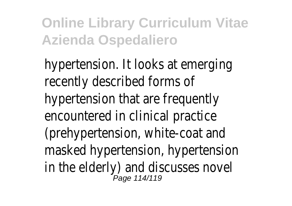hypertension. It looks at emerging recently described forms of hypertension that are frequently encountered in clinical practice (prehypertension, white-coat and masked hypertension, hypertension in the elderly) and discusses novel Page 114/119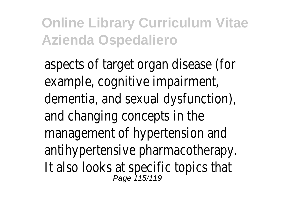aspects of target organ disease (for example, cognitive impairment, dementia, and sexual dysfunction), and changing concepts in the management of hypertension and antihypertensive pharmacotherapy. It also looks at specific topics that<br>Page 115/119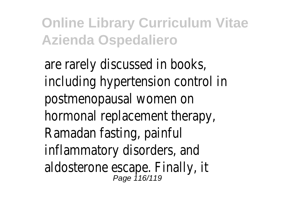are rarely discussed in books, including hypertension control in postmenopausal women on hormonal replacement therapy, Ramadan fasting, painful inflammatory disorders, and aldosterone escape. Finally, it Page 116/119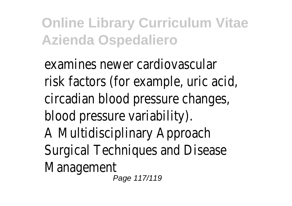examines newer cardiovascular risk factors (for example, uric acid, circadian blood pressure changes, blood pressure variability). A Multidisciplinary Approach Surgical Techniques and Disease Management Page 117/119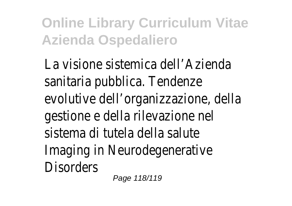La visione sistemica dell'Azienda sanitaria pubblica. Tendenze evolutive dell'organizzazione, della gestione e della rilevazione nel sistema di tutela della salute Imaging in Neurodegenerative **Disorders** 

Page 118/119